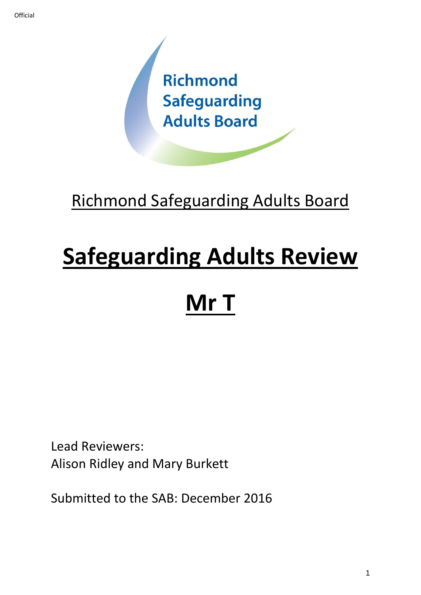

# Richmond Safeguarding Adults Board

# **Safeguarding Adults Review**

# **Mr T**

Lead Reviewers: Alison Ridley and Mary Burkett

Submitted to the SAB: December 2016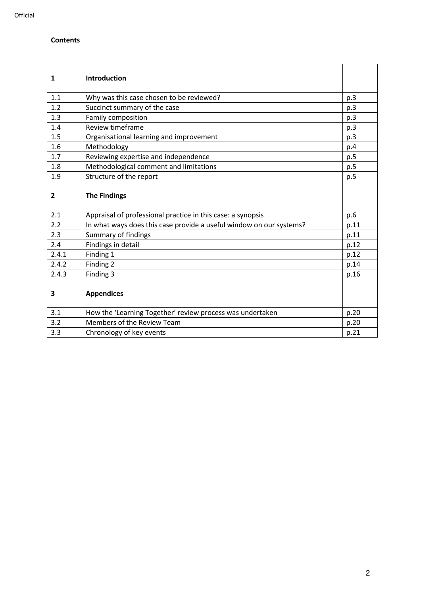# **Contents**

| 1            | <b>Introduction</b>                                                 |      |
|--------------|---------------------------------------------------------------------|------|
| 1.1          | Why was this case chosen to be reviewed?                            | p.3  |
| 1.2          | Succinct summary of the case                                        | p.3  |
| 1.3          | Family composition                                                  | p.3  |
| 1.4          | Review timeframe                                                    | p.3  |
| 1.5          | Organisational learning and improvement                             | p.3  |
| 1.6          | Methodology                                                         | p.4  |
| 1.7          | Reviewing expertise and independence                                | p.5  |
| 1.8          | Methodological comment and limitations                              | p.5  |
| 1.9          | Structure of the report                                             | p.5  |
| $\mathbf{2}$ | <b>The Findings</b>                                                 |      |
| 2.1          | Appraisal of professional practice in this case: a synopsis         | p.6  |
| 2.2          | In what ways does this case provide a useful window on our systems? | p.11 |
| 2.3          | Summary of findings                                                 | p.11 |
| 2.4          | Findings in detail                                                  | p.12 |
| 2.4.1        | Finding 1                                                           | p.12 |
| 2.4.2        | Finding 2                                                           | p.14 |
| 2.4.3        | Finding 3                                                           | p.16 |
| 3            | <b>Appendices</b>                                                   |      |
| 3.1          | How the 'Learning Together' review process was undertaken           | p.20 |
| 3.2          | Members of the Review Team                                          | p.20 |
| 3.3          | Chronology of key events                                            | p.21 |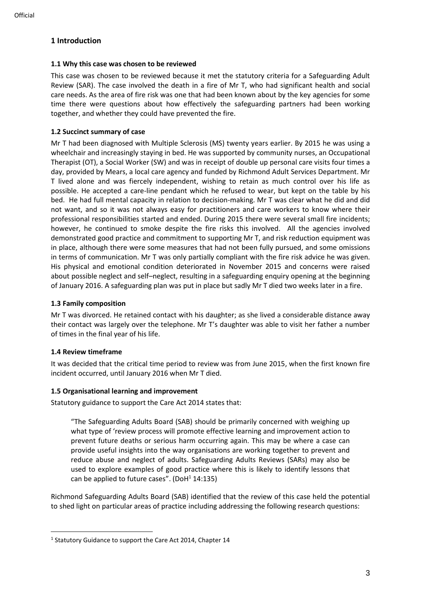# **1 Introduction**

# **1.1 Why this case was chosen to be reviewed**

This case was chosen to be reviewed because it met the statutory criteria for a Safeguarding Adult Review (SAR). The case involved the death in a fire of Mr T, who had significant health and social care needs. As the area of fire risk was one that had been known about by the key agencies for some time there were questions about how effectively the safeguarding partners had been working together, and whether they could have prevented the fire.

# **1.2 Succinct summary of case**

Mr T had been diagnosed with Multiple Sclerosis (MS) twenty years earlier. By 2015 he was using a wheelchair and increasingly staying in bed. He was supported by community nurses, an Occupational Therapist (OT), a Social Worker (SW) and was in receipt of double up personal care visits four times a day, provided by Mears, a local care agency and funded by Richmond Adult Services Department. Mr T lived alone and was fiercely independent, wishing to retain as much control over his life as possible. He accepted a care-line pendant which he refused to wear, but kept on the table by his bed. He had full mental capacity in relation to decision-making. Mr T was clear what he did and did not want, and so it was not always easy for practitioners and care workers to know where their professional responsibilities started and ended. During 2015 there were several small fire incidents; however, he continued to smoke despite the fire risks this involved. All the agencies involved demonstrated good practice and commitment to supporting Mr T, and risk reduction equipment was in place, although there were some measures that had not been fully pursued, and some omissions in terms of communication. Mr T was only partially compliant with the fire risk advice he was given. His physical and emotional condition deteriorated in November 2015 and concerns were raised about possible neglect and self–neglect, resulting in a safeguarding enquiry opening at the beginning of January 2016. A safeguarding plan was put in place but sadly Mr T died two weeks later in a fire.

# **1.3 Family composition**

Mr T was divorced. He retained contact with his daughter; as she lived a considerable distance away their contact was largely over the telephone. Mr T's daughter was able to visit her father a number of times in the final year of his life.

# **1.4 Review timeframe**

It was decided that the critical time period to review was from June 2015, when the first known fire incident occurred, until January 2016 when Mr T died.

#### **1.5 Organisational learning and improvement**

Statutory guidance to support the Care Act 2014 states that:

"The Safeguarding Adults Board (SAB) should be primarily concerned with weighing up what type of 'review process will promote effective learning and improvement action to prevent future deaths or serious harm occurring again. This may be where a case can provide useful insights into the way organisations are working together to prevent and reduce abuse and neglect of adults. Safeguarding Adults Reviews (SARs) may also be used to explore examples of good practice where this is likely to identify lessons that can be applied to future cases". (DoH $1$  14:135)

Richmond Safeguarding Adults Board (SAB) identified that the review of this case held the potential to shed light on particular areas of practice including addressing the following research questions:

<sup>&</sup>lt;sup>1</sup> Statutory Guidance to support the Care Act 2014, Chapter 14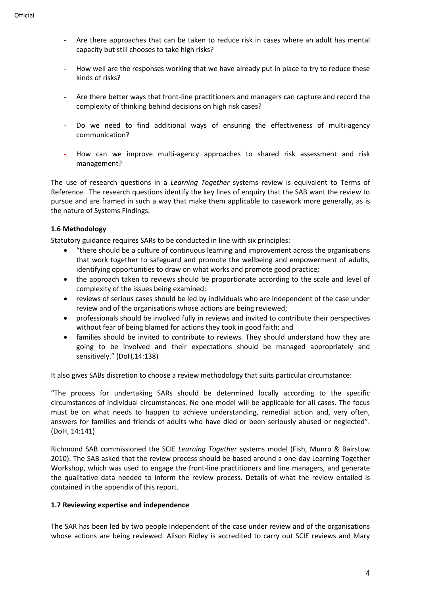- Are there approaches that can be taken to reduce risk in cases where an adult has mental capacity but still chooses to take high risks?
- How well are the responses working that we have already put in place to try to reduce these kinds of risks?
- Are there better ways that front-line practitioners and managers can capture and record the complexity of thinking behind decisions on high risk cases?
- Do we need to find additional ways of ensuring the effectiveness of multi-agency communication?
- How can we improve multi-agency approaches to shared risk assessment and risk management?

The use of research questions in a *Learning Together* systems review is equivalent to Terms of Reference. The research questions identify the key lines of enquiry that the SAB want the review to pursue and are framed in such a way that make them applicable to casework more generally, as is the nature of Systems Findings.

# **1.6 Methodology**

Statutory guidance requires SARs to be conducted in line with six principles:

- "there should be a culture of continuous learning and improvement across the organisations that work together to safeguard and promote the wellbeing and empowerment of adults, identifying opportunities to draw on what works and promote good practice;
- the approach taken to reviews should be proportionate according to the scale and level of complexity of the issues being examined;
- reviews of serious cases should be led by individuals who are independent of the case under review and of the organisations whose actions are being reviewed;
- professionals should be involved fully in reviews and invited to contribute their perspectives without fear of being blamed for actions they took in good faith; and
- families should be invited to contribute to reviews. They should understand how they are going to be involved and their expectations should be managed appropriately and sensitively." (DoH,14:138)

It also gives SABs discretion to choose a review methodology that suits particular circumstance:

"The process for undertaking SARs should be determined locally according to the specific circumstances of individual circumstances. No one model will be applicable for all cases. The focus must be on what needs to happen to achieve understanding, remedial action and, very often, answers for families and friends of adults who have died or been seriously abused or neglected". (DoH, 14:141)

Richmond SAB commissioned the SCIE *Learning Together* systems model (Fish, Munro & Bairstow 2010). The SAB asked that the review process should be based around a one-day Learning Together Workshop, which was used to engage the front-line practitioners and line managers, and generate the qualitative data needed to inform the review process. Details of what the review entailed is contained in the appendix of this report.

#### **1.7 Reviewing expertise and independence**

The SAR has been led by two people independent of the case under review and of the organisations whose actions are being reviewed. Alison Ridley is accredited to carry out SCIE reviews and Mary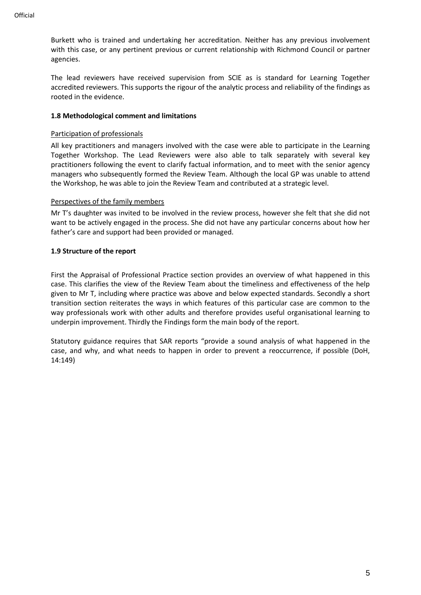Burkett who is trained and undertaking her accreditation. Neither has any previous involvement with this case, or any pertinent previous or current relationship with Richmond Council or partner agencies.

The lead reviewers have received supervision from SCIE as is standard for Learning Together accredited reviewers. This supports the rigour of the analytic process and reliability of the findings as rooted in the evidence.

#### **1.8 Methodological comment and limitations**

# Participation of professionals

All key practitioners and managers involved with the case were able to participate in the Learning Together Workshop. The Lead Reviewers were also able to talk separately with several key practitioners following the event to clarify factual information, and to meet with the senior agency managers who subsequently formed the Review Team. Although the local GP was unable to attend the Workshop, he was able to join the Review Team and contributed at a strategic level.

# Perspectives of the family members

Mr T's daughter was invited to be involved in the review process, however she felt that she did not want to be actively engaged in the process. She did not have any particular concerns about how her father's care and support had been provided or managed.

# **1.9 Structure of the report**

First the Appraisal of Professional Practice section provides an overview of what happened in this case. This clarifies the view of the Review Team about the timeliness and effectiveness of the help given to Mr T, including where practice was above and below expected standards. Secondly a short transition section reiterates the ways in which features of this particular case are common to the way professionals work with other adults and therefore provides useful organisational learning to underpin improvement. Thirdly the Findings form the main body of the report.

Statutory guidance requires that SAR reports "provide a sound analysis of what happened in the case, and why, and what needs to happen in order to prevent a reoccurrence, if possible (DoH, 14:149)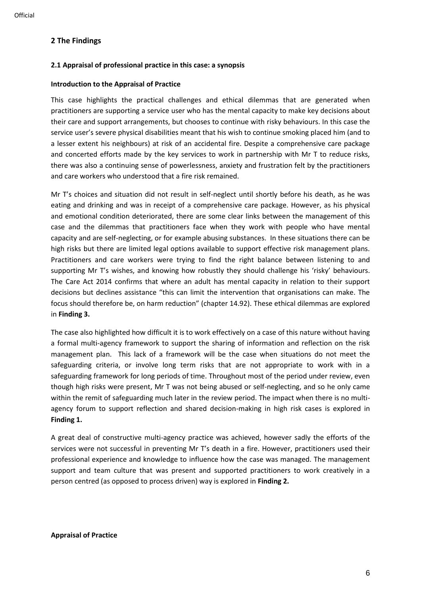# **2 The Findings**

# **2.1 Appraisal of professional practice in this case: a synopsis**

# **Introduction to the Appraisal of Practice**

This case highlights the practical challenges and ethical dilemmas that are generated when practitioners are supporting a service user who has the mental capacity to make key decisions about their care and support arrangements, but chooses to continue with risky behaviours. In this case the service user's severe physical disabilities meant that his wish to continue smoking placed him (and to a lesser extent his neighbours) at risk of an accidental fire. Despite a comprehensive care package and concerted efforts made by the key services to work in partnership with Mr T to reduce risks, there was also a continuing sense of powerlessness, anxiety and frustration felt by the practitioners and care workers who understood that a fire risk remained.

Mr T's choices and situation did not result in self-neglect until shortly before his death, as he was eating and drinking and was in receipt of a comprehensive care package. However, as his physical and emotional condition deteriorated, there are some clear links between the management of this case and the dilemmas that practitioners face when they work with people who have mental capacity and are self-neglecting, or for example abusing substances. In these situations there can be high risks but there are limited legal options available to support effective risk management plans. Practitioners and care workers were trying to find the right balance between listening to and supporting Mr T's wishes, and knowing how robustly they should challenge his 'risky' behaviours. The Care Act 2014 confirms that where an adult has mental capacity in relation to their support decisions but declines assistance "this can limit the intervention that organisations can make. The focus should therefore be, on harm reduction" (chapter 14.92). These ethical dilemmas are explored in **Finding 3.**

The case also highlighted how difficult it is to work effectively on a case of this nature without having a formal multi-agency framework to support the sharing of information and reflection on the risk management plan. This lack of a framework will be the case when situations do not meet the safeguarding criteria, or involve long term risks that are not appropriate to work with in a safeguarding framework for long periods of time. Throughout most of the period under review, even though high risks were present, Mr T was not being abused or self-neglecting, and so he only came within the remit of safeguarding much later in the review period. The impact when there is no multiagency forum to support reflection and shared decision-making in high risk cases is explored in **Finding 1.**

A great deal of constructive multi-agency practice was achieved, however sadly the efforts of the services were not successful in preventing Mr T's death in a fire. However, practitioners used their professional experience and knowledge to influence how the case was managed. The management support and team culture that was present and supported practitioners to work creatively in a person centred (as opposed to process driven) way is explored in **Finding 2.**

#### **Appraisal of Practice**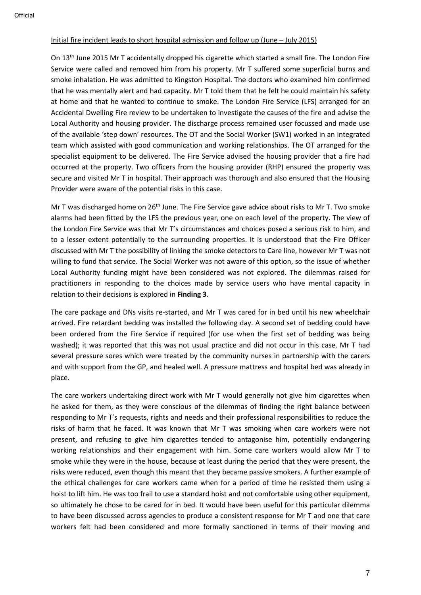# Initial fire incident leads to short hospital admission and follow up (June – July 2015)

On 13<sup>th</sup> June 2015 Mr T accidentally dropped his cigarette which started a small fire. The London Fire Service were called and removed him from his property. Mr T suffered some superficial burns and smoke inhalation. He was admitted to Kingston Hospital. The doctors who examined him confirmed that he was mentally alert and had capacity. Mr T told them that he felt he could maintain his safety at home and that he wanted to continue to smoke. The London Fire Service (LFS) arranged for an Accidental Dwelling Fire review to be undertaken to investigate the causes of the fire and advise the Local Authority and housing provider. The discharge process remained user focussed and made use of the available 'step down' resources. The OT and the Social Worker (SW1) worked in an integrated team which assisted with good communication and working relationships. The OT arranged for the specialist equipment to be delivered. The Fire Service advised the housing provider that a fire had occurred at the property. Two officers from the housing provider (RHP) ensured the property was secure and visited Mr T in hospital. Their approach was thorough and also ensured that the Housing Provider were aware of the potential risks in this case.

Mr T was discharged home on 26<sup>th</sup> June. The Fire Service gave advice about risks to Mr T. Two smoke alarms had been fitted by the LFS the previous year, one on each level of the property. The view of the London Fire Service was that Mr T's circumstances and choices posed a serious risk to him, and to a lesser extent potentially to the surrounding properties. It is understood that the Fire Officer discussed with Mr T the possibility of linking the smoke detectors to Care line, however Mr T was not willing to fund that service. The Social Worker was not aware of this option, so the issue of whether Local Authority funding might have been considered was not explored. The dilemmas raised for practitioners in responding to the choices made by service users who have mental capacity in relation to their decisions is explored in **Finding 3**.

The care package and DNs visits re-started, and Mr T was cared for in bed until his new wheelchair arrived. Fire retardant bedding was installed the following day. A second set of bedding could have been ordered from the Fire Service if required (for use when the first set of bedding was being washed); it was reported that this was not usual practice and did not occur in this case. Mr T had several pressure sores which were treated by the community nurses in partnership with the carers and with support from the GP, and healed well. A pressure mattress and hospital bed was already in place.

The care workers undertaking direct work with Mr T would generally not give him cigarettes when he asked for them, as they were conscious of the dilemmas of finding the right balance between responding to Mr T's requests, rights and needs and their professional responsibilities to reduce the risks of harm that he faced. It was known that Mr T was smoking when care workers were not present, and refusing to give him cigarettes tended to antagonise him, potentially endangering working relationships and their engagement with him. Some care workers would allow Mr T to smoke while they were in the house, because at least during the period that they were present, the risks were reduced, even though this meant that they became passive smokers. A further example of the ethical challenges for care workers came when for a period of time he resisted them using a hoist to lift him. He was too frail to use a standard hoist and not comfortable using other equipment, so ultimately he chose to be cared for in bed. It would have been useful for this particular dilemma to have been discussed across agencies to produce a consistent response for Mr T and one that care workers felt had been considered and more formally sanctioned in terms of their moving and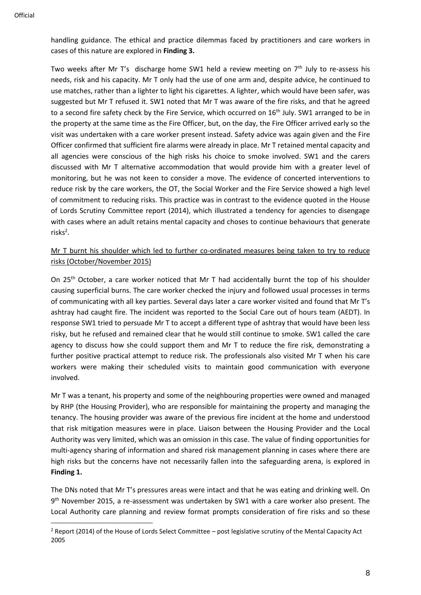handling guidance. The ethical and practice dilemmas faced by practitioners and care workers in cases of this nature are explored in **Finding 3.**

Two weeks after Mr T's discharge home SW1 held a review meeting on  $7<sup>th</sup>$  July to re-assess his needs, risk and his capacity. Mr T only had the use of one arm and, despite advice, he continued to use matches, rather than a lighter to light his cigarettes. A lighter, which would have been safer, was suggested but Mr T refused it. SW1 noted that Mr T was aware of the fire risks, and that he agreed to a second fire safety check by the Fire Service, which occurred on 16<sup>th</sup> July. SW1 arranged to be in the property at the same time as the Fire Officer, but, on the day, the Fire Officer arrived early so the visit was undertaken with a care worker present instead. Safety advice was again given and the Fire Officer confirmed that sufficient fire alarms were already in place. Mr T retained mental capacity and all agencies were conscious of the high risks his choice to smoke involved. SW1 and the carers discussed with Mr T alternative accommodation that would provide him with a greater level of monitoring, but he was not keen to consider a move. The evidence of concerted interventions to reduce risk by the care workers, the OT, the Social Worker and the Fire Service showed a high level of commitment to reducing risks. This practice was in contrast to the evidence quoted in the House of Lords Scrutiny Committee report (2014), which illustrated a tendency for agencies to disengage with cases where an adult retains mental capacity and choses to continue behaviours that generate risks<sup>2</sup>.

Mr T burnt his shoulder which led to further co-ordinated measures being taken to try to reduce risks (October/November 2015)

On 25<sup>th</sup> October, a care worker noticed that Mr T had accidentally burnt the top of his shoulder causing superficial burns. The care worker checked the injury and followed usual processes in terms of communicating with all key parties. Several days later a care worker visited and found that Mr T's ashtray had caught fire. The incident was reported to the Social Care out of hours team (AEDT). In response SW1 tried to persuade Mr T to accept a different type of ashtray that would have been less risky, but he refused and remained clear that he would still continue to smoke. SW1 called the care agency to discuss how she could support them and Mr T to reduce the fire risk, demonstrating a further positive practical attempt to reduce risk. The professionals also visited Mr T when his care workers were making their scheduled visits to maintain good communication with everyone involved.

Mr T was a tenant, his property and some of the neighbouring properties were owned and managed by RHP (the Housing Provider), who are responsible for maintaining the property and managing the tenancy. The housing provider was aware of the previous fire incident at the home and understood that risk mitigation measures were in place. Liaison between the Housing Provider and the Local Authority was very limited, which was an omission in this case. The value of finding opportunities for multi-agency sharing of information and shared risk management planning in cases where there are high risks but the concerns have not necessarily fallen into the safeguarding arena, is explored in **Finding 1.** 

The DNs noted that Mr T's pressures areas were intact and that he was eating and drinking well. On 9<sup>th</sup> November 2015, a re-assessment was undertaken by SW1 with a care worker also present. The Local Authority care planning and review format prompts consideration of fire risks and so these

 $2$  Report (2014) of the House of Lords Select Committee – post legislative scrutiny of the Mental Capacity Act 2005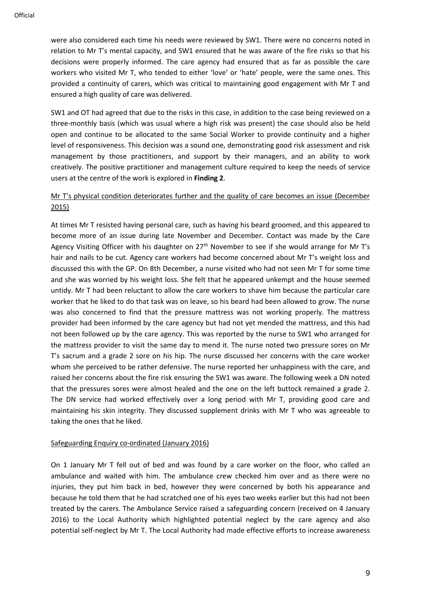were also considered each time his needs were reviewed by SW1. There were no concerns noted in relation to Mr T's mental capacity, and SW1 ensured that he was aware of the fire risks so that his decisions were properly informed. The care agency had ensured that as far as possible the care workers who visited Mr T, who tended to either 'love' or 'hate' people, were the same ones. This provided a continuity of carers, which was critical to maintaining good engagement with Mr T and ensured a high quality of care was delivered.

SW1 and OT had agreed that due to the risks in this case, in addition to the case being reviewed on a three-monthly basis (which was usual where a high risk was present) the case should also be held open and continue to be allocated to the same Social Worker to provide continuity and a higher level of responsiveness. This decision was a sound one, demonstrating good risk assessment and risk management by those practitioners, and support by their managers, and an ability to work creatively. The positive practitioner and management culture required to keep the needs of service users at the centre of the work is explored in **Finding 2**.

# Mr T's physical condition deteriorates further and the quality of care becomes an issue (December 2015)

At times Mr T resisted having personal care, such as having his beard groomed, and this appeared to become more of an issue during late November and December. Contact was made by the Care Agency Visiting Officer with his daughter on 27<sup>th</sup> November to see if she would arrange for Mr T's hair and nails to be cut. Agency care workers had become concerned about Mr T's weight loss and discussed this with the GP. On 8th December, a nurse visited who had not seen Mr T for some time and she was worried by his weight loss. She felt that he appeared unkempt and the house seemed untidy. Mr T had been reluctant to allow the care workers to shave him because the particular care worker that he liked to do that task was on leave, so his beard had been allowed to grow. The nurse was also concerned to find that the pressure mattress was not working properly. The mattress provider had been informed by the care agency but had not yet mended the mattress, and this had not been followed up by the care agency. This was reported by the nurse to SW1 who arranged for the mattress provider to visit the same day to mend it. The nurse noted two pressure sores on Mr T's sacrum and a grade 2 sore on his hip. The nurse discussed her concerns with the care worker whom she perceived to be rather defensive. The nurse reported her unhappiness with the care, and raised her concerns about the fire risk ensuring the SW1 was aware. The following week a DN noted that the pressures sores were almost healed and the one on the left buttock remained a grade 2. The DN service had worked effectively over a long period with Mr T, providing good care and maintaining his skin integrity. They discussed supplement drinks with Mr T who was agreeable to taking the ones that he liked.

#### Safeguarding Enquiry co-ordinated (January 2016)

On 1 January Mr T fell out of bed and was found by a care worker on the floor, who called an ambulance and waited with him. The ambulance crew checked him over and as there were no injuries, they put him back in bed, however they were concerned by both his appearance and because he told them that he had scratched one of his eyes two weeks earlier but this had not been treated by the carers. The Ambulance Service raised a safeguarding concern (received on 4 January 2016) to the Local Authority which highlighted potential neglect by the care agency and also potential self-neglect by Mr T. The Local Authority had made effective efforts to increase awareness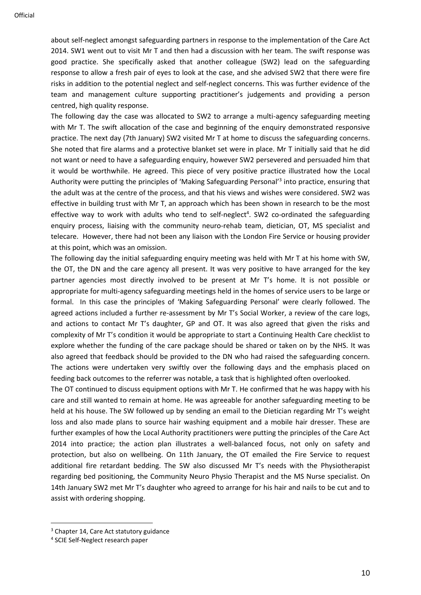about self-neglect amongst safeguarding partners in response to the implementation of the Care Act 2014. SW1 went out to visit Mr T and then had a discussion with her team. The swift response was good practice. She specifically asked that another colleague (SW2) lead on the safeguarding response to allow a fresh pair of eyes to look at the case, and she advised SW2 that there were fire risks in addition to the potential neglect and self-neglect concerns. This was further evidence of the team and management culture supporting practitioner's judgements and providing a person centred, high quality response.

The following day the case was allocated to SW2 to arrange a multi-agency safeguarding meeting with Mr T. The swift allocation of the case and beginning of the enquiry demonstrated responsive practice. The next day (7th January) SW2 visited Mr T at home to discuss the safeguarding concerns. She noted that fire alarms and a protective blanket set were in place. Mr T initially said that he did not want or need to have a safeguarding enquiry, however SW2 persevered and persuaded him that it would be worthwhile. He agreed. This piece of very positive practice illustrated how the Local Authority were putting the principles of 'Making Safeguarding Personal'<sup>3</sup> into practice, ensuring that the adult was at the centre of the process, and that his views and wishes were considered. SW2 was effective in building trust with Mr T, an approach which has been shown in research to be the most effective way to work with adults who tend to self-neglect<sup>4</sup>. SW2 co-ordinated the safeguarding enquiry process, liaising with the community neuro-rehab team, dietician, OT, MS specialist and telecare. However, there had not been any liaison with the London Fire Service or housing provider at this point, which was an omission.

The following day the initial safeguarding enquiry meeting was held with Mr T at his home with SW, the OT, the DN and the care agency all present. It was very positive to have arranged for the key partner agencies most directly involved to be present at Mr T's home. It is not possible or appropriate for multi-agency safeguarding meetings held in the homes of service users to be large or formal. In this case the principles of 'Making Safeguarding Personal' were clearly followed. The agreed actions included a further re-assessment by Mr T's Social Worker, a review of the care logs, and actions to contact Mr T's daughter, GP and OT. It was also agreed that given the risks and complexity of Mr T's condition it would be appropriate to start a Continuing Health Care checklist to explore whether the funding of the care package should be shared or taken on by the NHS. It was also agreed that feedback should be provided to the DN who had raised the safeguarding concern. The actions were undertaken very swiftly over the following days and the emphasis placed on feeding back outcomes to the referrer was notable, a task that is highlighted often overlooked.

The OT continued to discuss equipment options with Mr T. He confirmed that he was happy with his care and still wanted to remain at home. He was agreeable for another safeguarding meeting to be held at his house. The SW followed up by sending an email to the Dietician regarding Mr T's weight loss and also made plans to source hair washing equipment and a mobile hair dresser. These are further examples of how the Local Authority practitioners were putting the principles of the Care Act 2014 into practice; the action plan illustrates a well-balanced focus, not only on safety and protection, but also on wellbeing. On 11th January, the OT emailed the Fire Service to request additional fire retardant bedding. The SW also discussed Mr T's needs with the Physiotherapist regarding bed positioning, the Community Neuro Physio Therapist and the MS Nurse specialist. On 14th January SW2 met Mr T's daughter who agreed to arrange for his hair and nails to be cut and to assist with ordering shopping.

<sup>&</sup>lt;sup>3</sup> Chapter 14, Care Act statutory guidance

<sup>4</sup> SCIE Self-Neglect research paper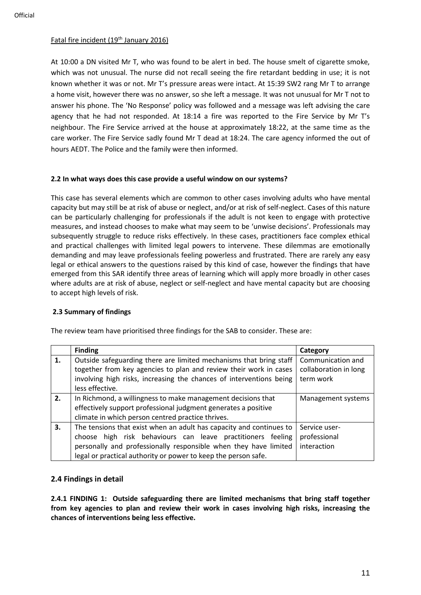# Fatal fire incident (19<sup>th</sup> January 2016)

At 10:00 a DN visited Mr T, who was found to be alert in bed. The house smelt of cigarette smoke, which was not unusual. The nurse did not recall seeing the fire retardant bedding in use; it is not known whether it was or not. Mr T's pressure areas were intact. At 15:39 SW2 rang Mr T to arrange a home visit, however there was no answer, so she left a message. It was not unusual for Mr T not to answer his phone. The 'No Response' policy was followed and a message was left advising the care agency that he had not responded. At 18:14 a fire was reported to the Fire Service by Mr T's neighbour. The Fire Service arrived at the house at approximately 18:22, at the same time as the care worker. The Fire Service sadly found Mr T dead at 18:24. The care agency informed the out of hours AEDT. The Police and the family were then informed.

# **2.2 In what ways does this case provide a useful window on our systems?**

This case has several elements which are common to other cases involving adults who have mental capacity but may still be at risk of abuse or neglect, and/or at risk of self-neglect. Cases of this nature can be particularly challenging for professionals if the adult is not keen to engage with protective measures, and instead chooses to make what may seem to be 'unwise decisions'. Professionals may subsequently struggle to reduce risks effectively. In these cases, practitioners face complex ethical and practical challenges with limited legal powers to intervene. These dilemmas are emotionally demanding and may leave professionals feeling powerless and frustrated. There are rarely any easy legal or ethical answers to the questions raised by this kind of case, however the findings that have emerged from this SAR identify three areas of learning which will apply more broadly in other cases where adults are at risk of abuse, neglect or self-neglect and have mental capacity but are choosing to accept high levels of risk.

# **2.3 Summary of findings**

The review team have prioritised three findings for the SAB to consider. These are:

|    | <b>Finding</b>                                                                                                                                                                                                                                                           | Category                                                |
|----|--------------------------------------------------------------------------------------------------------------------------------------------------------------------------------------------------------------------------------------------------------------------------|---------------------------------------------------------|
| 1. | Outside safeguarding there are limited mechanisms that bring staff<br>together from key agencies to plan and review their work in cases<br>involving high risks, increasing the chances of interventions being<br>less effective.                                        | Communication and<br>collaboration in long<br>term work |
| 2. | In Richmond, a willingness to make management decisions that<br>effectively support professional judgment generates a positive<br>climate in which person centred practice thrives.                                                                                      | Management systems                                      |
| 3. | The tensions that exist when an adult has capacity and continues to<br>choose high risk behaviours can leave practitioners feeling<br>personally and professionally responsible when they have limited<br>legal or practical authority or power to keep the person safe. | Service user-<br>professional<br>interaction            |

# **2.4 Findings in detail**

**2.4.1 FINDING 1: Outside safeguarding there are limited mechanisms that bring staff together from key agencies to plan and review their work in cases involving high risks, increasing the chances of interventions being less effective.**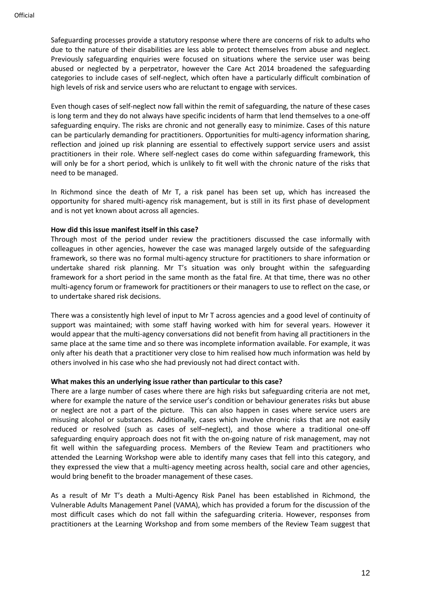Safeguarding processes provide a statutory response where there are concerns of risk to adults who due to the nature of their disabilities are less able to protect themselves from abuse and neglect. Previously safeguarding enquiries were focused on situations where the service user was being abused or neglected by a perpetrator, however the Care Act 2014 broadened the safeguarding categories to include cases of self-neglect, which often have a particularly difficult combination of high levels of risk and service users who are reluctant to engage with services.

Even though cases of self-neglect now fall within the remit of safeguarding, the nature of these cases is long term and they do not always have specific incidents of harm that lend themselves to a one-off safeguarding enquiry. The risks are chronic and not generally easy to minimize. Cases of this nature can be particularly demanding for practitioners. Opportunities for multi-agency information sharing, reflection and joined up risk planning are essential to effectively support service users and assist practitioners in their role. Where self-neglect cases do come within safeguarding framework, this will only be for a short period, which is unlikely to fit well with the chronic nature of the risks that need to be managed.

In Richmond since the death of Mr T, a risk panel has been set up, which has increased the opportunity for shared multi-agency risk management, but is still in its first phase of development and is not yet known about across all agencies.

# **How did this issue manifest itself in this case?**

Through most of the period under review the practitioners discussed the case informally with colleagues in other agencies, however the case was managed largely outside of the safeguarding framework, so there was no formal multi-agency structure for practitioners to share information or undertake shared risk planning. Mr T's situation was only brought within the safeguarding framework for a short period in the same month as the fatal fire. At that time, there was no other multi-agency forum or framework for practitioners or their managers to use to reflect on the case, or to undertake shared risk decisions.

There was a consistently high level of input to Mr T across agencies and a good level of continuity of support was maintained; with some staff having worked with him for several years. However it would appear that the multi-agency conversations did not benefit from having all practitioners in the same place at the same time and so there was incomplete information available. For example, it was only after his death that a practitioner very close to him realised how much information was held by others involved in his case who she had previously not had direct contact with.

#### **What makes this an underlying issue rather than particular to this case?**

There are a large number of cases where there are high risks but safeguarding criteria are not met, where for example the nature of the service user's condition or behaviour generates risks but abuse or neglect are not a part of the picture. This can also happen in cases where service users are misusing alcohol or substances. Additionally, cases which involve chronic risks that are not easily reduced or resolved (such as cases of self–neglect), and those where a traditional one-off safeguarding enquiry approach does not fit with the on-going nature of risk management, may not fit well within the safeguarding process. Members of the Review Team and practitioners who attended the Learning Workshop were able to identify many cases that fell into this category, and they expressed the view that a multi-agency meeting across health, social care and other agencies, would bring benefit to the broader management of these cases.

As a result of Mr T's death a Multi-Agency Risk Panel has been established in Richmond, the Vulnerable Adults Management Panel (VAMA), which has provided a forum for the discussion of the most difficult cases which do not fall within the safeguarding criteria. However, responses from practitioners at the Learning Workshop and from some members of the Review Team suggest that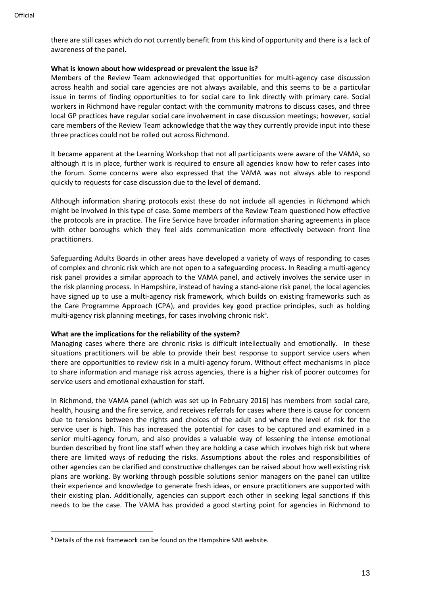there are still cases which do not currently benefit from this kind of opportunity and there is a lack of awareness of the panel.

#### **What is known about how widespread or prevalent the issue is?**

Members of the Review Team acknowledged that opportunities for multi-agency case discussion across health and social care agencies are not always available, and this seems to be a particular issue in terms of finding opportunities to for social care to link directly with primary care. Social workers in Richmond have regular contact with the community matrons to discuss cases, and three local GP practices have regular social care involvement in case discussion meetings; however, social care members of the Review Team acknowledge that the way they currently provide input into these three practices could not be rolled out across Richmond.

It became apparent at the Learning Workshop that not all participants were aware of the VAMA, so although it is in place, further work is required to ensure all agencies know how to refer cases into the forum. Some concerns were also expressed that the VAMA was not always able to respond quickly to requests for case discussion due to the level of demand.

Although information sharing protocols exist these do not include all agencies in Richmond which might be involved in this type of case. Some members of the Review Team questioned how effective the protocols are in practice. The Fire Service have broader information sharing agreements in place with other boroughs which they feel aids communication more effectively between front line practitioners.

Safeguarding Adults Boards in other areas have developed a variety of ways of responding to cases of complex and chronic risk which are not open to a safeguarding process. In Reading a multi-agency risk panel provides a similar approach to the VAMA panel, and actively involves the service user in the risk planning process. In Hampshire, instead of having a stand-alone risk panel, the local agencies have signed up to use a multi-agency risk framework, which builds on existing frameworks such as the Care Programme Approach (CPA), and provides key good practice principles, such as holding multi-agency risk planning meetings, for cases involving chronic risk<sup>5</sup>.

#### **What are the implications for the reliability of the system?**

Managing cases where there are chronic risks is difficult intellectually and emotionally. In these situations practitioners will be able to provide their best response to support service users when there are opportunities to review risk in a multi-agency forum. Without effect mechanisms in place to share information and manage risk across agencies, there is a higher risk of poorer outcomes for service users and emotional exhaustion for staff.

In Richmond, the VAMA panel (which was set up in February 2016) has members from social care, health, housing and the fire service, and receives referrals for cases where there is cause for concern due to tensions between the rights and choices of the adult and where the level of risk for the service user is high. This has increased the potential for cases to be captured and examined in a senior multi-agency forum, and also provides a valuable way of lessening the intense emotional burden described by front line staff when they are holding a case which involves high risk but where there are limited ways of reducing the risks. Assumptions about the roles and responsibilities of other agencies can be clarified and constructive challenges can be raised about how well existing risk plans are working. By working through possible solutions senior managers on the panel can utilize their experience and knowledge to generate fresh ideas, or ensure practitioners are supported with their existing plan. Additionally, agencies can support each other in seeking legal sanctions if this needs to be the case. The VAMA has provided a good starting point for agencies in Richmond to

<sup>5</sup> Details of the risk framework can be found on the Hampshire SAB website.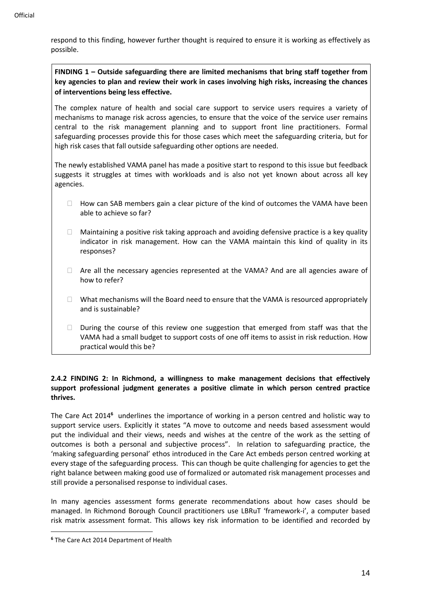respond to this finding, however further thought is required to ensure it is working as effectively as possible.

**FINDING 1 – Outside safeguarding there are limited mechanisms that bring staff together from key agencies to plan and review their work in cases involving high risks, increasing the chances of interventions being less effective.**

The complex nature of health and social care support to service users requires a variety of mechanisms to manage risk across agencies, to ensure that the voice of the service user remains central to the risk management planning and to support front line practitioners. Formal safeguarding processes provide this for those cases which meet the safeguarding criteria, but for high risk cases that fall outside safeguarding other options are needed.

The newly established VAMA panel has made a positive start to respond to this issue but feedback suggests it struggles at times with workloads and is also not yet known about across all key agencies.

- $\Box$  How can SAB members gain a clear picture of the kind of outcomes the VAMA have been able to achieve so far?
- $\Box$  Maintaining a positive risk taking approach and avoiding defensive practice is a key quality indicator in risk management. How can the VAMA maintain this kind of quality in its responses?
- $\Box$  Are all the necessary agencies represented at the VAMA? And are all agencies aware of how to refer?
- $\Box$  What mechanisms will the Board need to ensure that the VAMA is resourced appropriately and is sustainable?
- $\Box$  During the course of this review one suggestion that emerged from staff was that the VAMA had a small budget to support costs of one off items to assist in risk reduction. How practical would this be?

# **2.4.2 FINDING 2: In Richmond, a willingness to make management decisions that effectively support professional judgment generates a positive climate in which person centred practice thrives.**

The Care Act 2014<sup>6</sup> underlines the importance of working in a person centred and holistic way to support service users. Explicitly it states "A move to outcome and needs based assessment would put the individual and their views, needs and wishes at the centre of the work as the setting of outcomes is both a personal and subjective process". In relation to safeguarding practice, the 'making safeguarding personal' ethos introduced in the Care Act embeds person centred working at every stage of the safeguarding process. This can though be quite challenging for agencies to get the right balance between making good use of formalized or automated risk management processes and still provide a personalised response to individual cases.

In many agencies assessment forms generate recommendations about how cases should be managed. In Richmond Borough Council practitioners use LBRuT 'framework-i', a computer based risk matrix assessment format. This allows key risk information to be identified and recorded by

**<sup>6</sup>** The Care Act 2014 Department of Health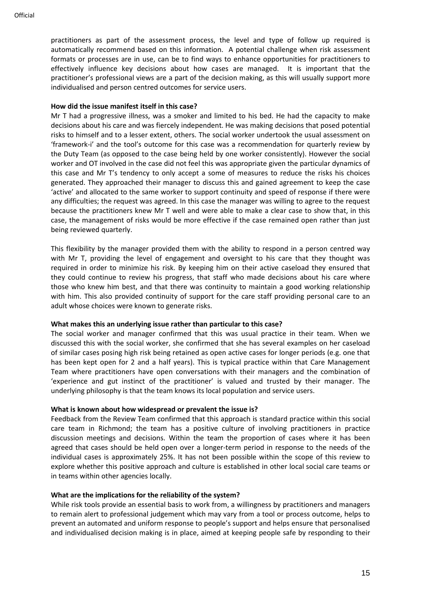practitioners as part of the assessment process, the level and type of follow up required is automatically recommend based on this information. A potential challenge when risk assessment formats or processes are in use, can be to find ways to enhance opportunities for practitioners to effectively influence key decisions about how cases are managed. It is important that the practitioner's professional views are a part of the decision making, as this will usually support more individualised and person centred outcomes for service users.

#### **How did the issue manifest itself in this case?**

Mr T had a progressive illness, was a smoker and limited to his bed. He had the capacity to make decisions about his care and was fiercely independent. He was making decisions that posed potential risks to himself and to a lesser extent, others. The social worker undertook the usual assessment on 'framework-i' and the tool's outcome for this case was a recommendation for quarterly review by the Duty Team (as opposed to the case being held by one worker consistently). However the social worker and OT involved in the case did not feel this was appropriate given the particular dynamics of this case and Mr T's tendency to only accept a some of measures to reduce the risks his choices generated. They approached their manager to discuss this and gained agreement to keep the case 'active' and allocated to the same worker to support continuity and speed of response if there were any difficulties; the request was agreed. In this case the manager was willing to agree to the request because the practitioners knew Mr T well and were able to make a clear case to show that, in this case, the management of risks would be more effective if the case remained open rather than just being reviewed quarterly.

This flexibility by the manager provided them with the ability to respond in a person centred way with Mr T, providing the level of engagement and oversight to his care that they thought was required in order to minimize his risk. By keeping him on their active caseload they ensured that they could continue to review his progress, that staff who made decisions about his care where those who knew him best, and that there was continuity to maintain a good working relationship with him. This also provided continuity of support for the care staff providing personal care to an adult whose choices were known to generate risks.

#### **What makes this an underlying issue rather than particular to this case?**

The social worker and manager confirmed that this was usual practice in their team. When we discussed this with the social worker, she confirmed that she has several examples on her caseload of similar cases posing high risk being retained as open active cases for longer periods (e.g. one that has been kept open for 2 and a half years). This is typical practice within that Care Management Team where practitioners have open conversations with their managers and the combination of 'experience and gut instinct of the practitioner' is valued and trusted by their manager. The underlying philosophy is that the team knows its local population and service users.

#### **What is known about how widespread or prevalent the issue is?**

Feedback from the Review Team confirmed that this approach is standard practice within this social care team in Richmond; the team has a positive culture of involving practitioners in practice discussion meetings and decisions. Within the team the proportion of cases where it has been agreed that cases should be held open over a longer-term period in response to the needs of the individual cases is approximately 25%. It has not been possible within the scope of this review to explore whether this positive approach and culture is established in other local social care teams or in teams within other agencies locally.

#### **What are the implications for the reliability of the system?**

While risk tools provide an essential basis to work from, a willingness by practitioners and managers to remain alert to professional judgement which may vary from a tool or process outcome, helps to prevent an automated and uniform response to people's support and helps ensure that personalised and individualised decision making is in place, aimed at keeping people safe by responding to their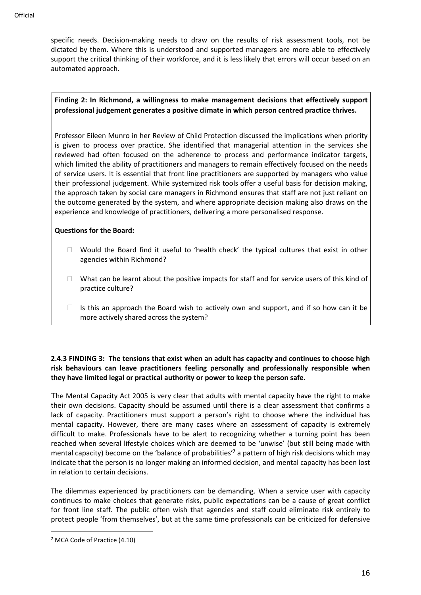specific needs. Decision-making needs to draw on the results of risk assessment tools, not be dictated by them. Where this is understood and supported managers are more able to effectively support the critical thinking of their workforce, and it is less likely that errors will occur based on an automated approach.

# **Finding 2: In Richmond, a willingness to make management decisions that effectively support professional judgement generates a positive climate in which person centred practice thrives.**

Professor Eileen Munro in her Review of Child Protection discussed the implications when priority is given to process over practice. She identified that managerial attention in the services she reviewed had often focused on the adherence to process and performance indicator targets, which limited the ability of practitioners and managers to remain effectively focused on the needs of service users. It is essential that front line practitioners are supported by managers who value their professional judgement. While systemized risk tools offer a useful basis for decision making, the approach taken by social care managers in Richmond ensures that staff are not just reliant on the outcome generated by the system, and where appropriate decision making also draws on the experience and knowledge of practitioners, delivering a more personalised response.

# **Questions for the Board:**

- $\Box$  Would the Board find it useful to 'health check' the typical cultures that exist in other agencies within Richmond?
- $\Box$  What can be learnt about the positive impacts for staff and for service users of this kind of practice culture?
- $\Box$  Is this an approach the Board wish to actively own and support, and if so how can it be more actively shared across the system?

# **2.4.3 FINDING 3: The tensions that exist when an adult has capacity and continues to choose high risk behaviours can leave practitioners feeling personally and professionally responsible when they have limited legal or practical authority or power to keep the person safe.**

The Mental Capacity Act 2005 is very clear that adults with mental capacity have the right to make their own decisions. Capacity should be assumed until there is a clear assessment that confirms a lack of capacity. Practitioners must support a person's right to choose where the individual has mental capacity. However, there are many cases where an assessment of capacity is extremely difficult to make. Professionals have to be alert to recognizing whether a turning point has been reached when several lifestyle choices which are deemed to be 'unwise' (but still being made with mental capacity) become on the 'balance of probabilities'**<sup>7</sup>** a pattern of high risk decisions which may indicate that the person is no longer making an informed decision, and mental capacity has been lost in relation to certain decisions.

The dilemmas experienced by practitioners can be demanding. When a service user with capacity continues to make choices that generate risks, public expectations can be a cause of great conflict for front line staff. The public often wish that agencies and staff could eliminate risk entirely to protect people 'from themselves', but at the same time professionals can be criticized for defensive

**<sup>7</sup>** MCA Code of Practice (4.10)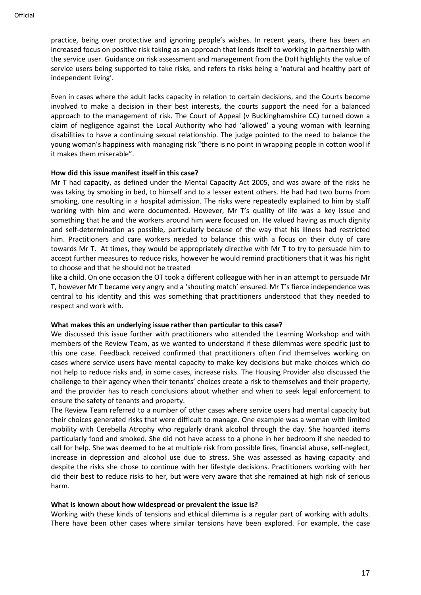practice, being over protective and ignoring people's wishes. In recent years, there has been an increased focus on positive risk taking as an approach that lends itself to working in partnership with the service user. Guidance on risk assessment and management from the DoH highlights the value of service users being supported to take risks, and refers to risks being a 'natural and healthy part of independent living'.

Even in cases where the adult lacks capacity in relation to certain decisions, and the Courts become involved to make a decision in their best interests, the courts support the need for a balanced approach to the management of risk. The Court of Appeal (v Buckinghamshire CC) turned down a claim of negligence against the Local Authority who had 'allowed' a young woman with learning disabilities to have a continuing sexual relationship. The judge pointed to the need to balance the young woman's happiness with managing risk "there is no point in wrapping people in cotton wool if it makes them miserable".

#### **How did this issue manifest itself in this case?**

Mr T had capacity, as defined under the Mental Capacity Act 2005, and was aware of the risks he was taking by smoking in bed, to himself and to a lesser extent others. He had had two burns from smoking, one resulting in a hospital admission. The risks were repeatedly explained to him by staff working with him and were documented. However, Mr T's quality of life was a key issue and something that he and the workers around him were focused on. He valued having as much dignity and self-determination as possible, particularly because of the way that his illness had restricted him. Practitioners and care workers needed to balance this with a focus on their duty of care towards Mr T. At times, they would be appropriately directive with Mr T to try to persuade him to accept further measures to reduce risks, however he would remind practitioners that it was his right to choose and that he should not be treated

like a child. On one occasion the OT took a different colleague with her in an attempt to persuade Mr T, however Mr T became very angry and a 'shouting match' ensured. Mr T's fierce independence was central to his identity and this was something that practitioners understood that they needed to respect and work with.

#### **What makes this an underlying issue rather than particular to this case?**

We discussed this issue further with practitioners who attended the Learning Workshop and with members of the Review Team, as we wanted to understand if these dilemmas were specific just to this one case. Feedback received confirmed that practitioners often find themselves working on cases where service users have mental capacity to make key decisions but make choices which do not help to reduce risks and, in some cases, increase risks. The Housing Provider also discussed the challenge to their agency when their tenants' choices create a risk to themselves and their property, and the provider has to reach conclusions about whether and when to seek legal enforcement to ensure the safety of tenants and property.

The Review Team referred to a number of other cases where service users had mental capacity but their choices generated risks that were difficult to manage. One example was a woman with limited mobility with Cerebella Atrophy who regularly drank alcohol through the day. She hoarded items particularly food and smoked. She did not have access to a phone in her bedroom if she needed to call for help. She was deemed to be at multiple risk from possible fires, financial abuse, self-neglect, increase in depression and alcohol use due to stress. She was assessed as having capacity and despite the risks she chose to continue with her lifestyle decisions. Practitioners working with her did their best to reduce risks to her, but were very aware that she remained at high risk of serious harm.

#### **What is known about how widespread or prevalent the issue is?**

Working with these kinds of tensions and ethical dilemma is a regular part of working with adults. There have been other cases where similar tensions have been explored. For example, the case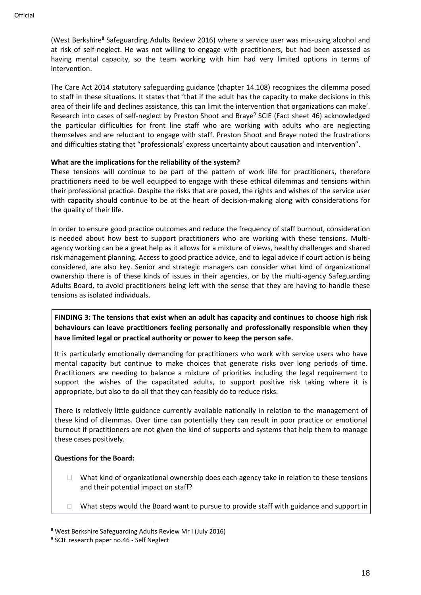(West Berkshire**<sup>8</sup>** Safeguarding Adults Review 2016) where a service user was mis-using alcohol and at risk of self-neglect. He was not willing to engage with practitioners, but had been assessed as having mental capacity, so the team working with him had very limited options in terms of intervention.

The Care Act 2014 statutory safeguarding guidance (chapter 14.108) recognizes the dilemma posed to staff in these situations. It states that 'that if the adult has the capacity to make decisions in this area of their life and declines assistance, this can limit the intervention that organizations can make'. Research into cases of self-neglect by Preston Shoot and Braye<sup>9</sup> SCIE (Fact sheet 46) acknowledged the particular difficulties for front line staff who are working with adults who are neglecting themselves and are reluctant to engage with staff. Preston Shoot and Braye noted the frustrations and difficulties stating that "professionals' express uncertainty about causation and intervention".

# **What are the implications for the reliability of the system?**

These tensions will continue to be part of the pattern of work life for practitioners, therefore practitioners need to be well equipped to engage with these ethical dilemmas and tensions within their professional practice. Despite the risks that are posed, the rights and wishes of the service user with capacity should continue to be at the heart of decision-making along with considerations for the quality of their life.

In order to ensure good practice outcomes and reduce the frequency of staff burnout, consideration is needed about how best to support practitioners who are working with these tensions. Multiagency working can be a great help as it allows for a mixture of views, healthy challenges and shared risk management planning. Access to good practice advice, and to legal advice if court action is being considered, are also key. Senior and strategic managers can consider what kind of organizational ownership there is of these kinds of issues in their agencies, or by the multi-agency Safeguarding Adults Board, to avoid practitioners being left with the sense that they are having to handle these tensions as isolated individuals.

**FINDING 3: The tensions that exist when an adult has capacity and continues to choose high risk behaviours can leave practitioners feeling personally and professionally responsible when they have limited legal or practical authority or power to keep the person safe.**

It is particularly emotionally demanding for practitioners who work with service users who have mental capacity but continue to make choices that generate risks over long periods of time. Practitioners are needing to balance a mixture of priorities including the legal requirement to support the wishes of the capacitated adults, to support positive risk taking where it is appropriate, but also to do all that they can feasibly do to reduce risks.

There is relatively little guidance currently available nationally in relation to the management of these kind of dilemmas. Over time can potentially they can result in poor practice or emotional burnout if practitioners are not given the kind of supports and systems that help them to manage these cases positively.

# **Questions for the Board:**

- $\Box$  What kind of organizational ownership does each agency take in relation to these tensions and their potential impact on staff?
- $\Box$  What steps would the Board want to pursue to provide staff with guidance and support in

**<sup>8</sup>** West Berkshire Safeguarding Adults Review Mr I (July 2016)

<sup>9</sup> SCIE research paper no.46 - Self Neglect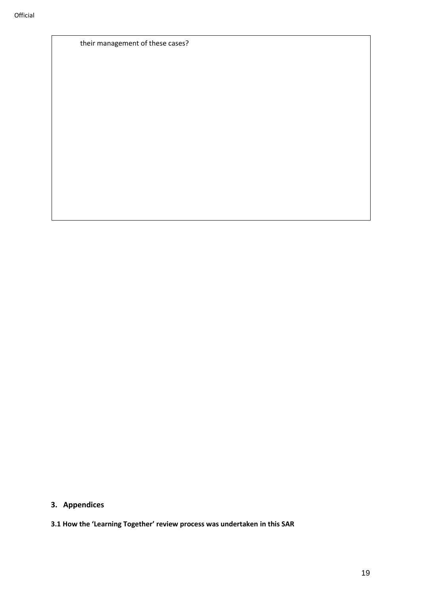their management of these cases?

**3. Appendices**

**<sup>3.1</sup> How the 'Learning Together' review process was undertaken in this SAR**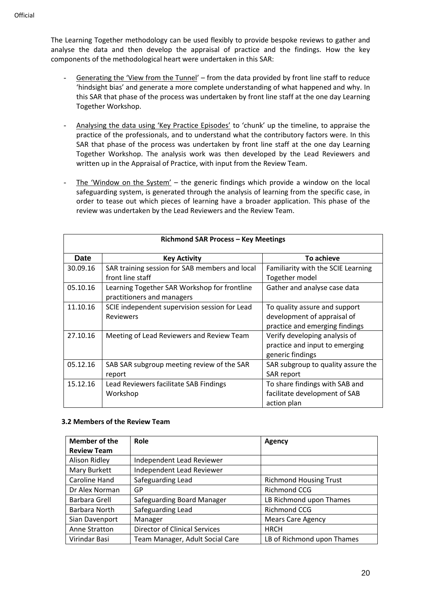The Learning Together methodology can be used flexibly to provide bespoke reviews to gather and analyse the data and then develop the appraisal of practice and the findings. How the key components of the methodological heart were undertaken in this SAR:

- Generating the 'View from the Tunnel' from the data provided by front line staff to reduce 'hindsight bias' and generate a more complete understanding of what happened and why. In this SAR that phase of the process was undertaken by front line staff at the one day Learning Together Workshop.
- Analysing the data using 'Key Practice Episodes' to 'chunk' up the timeline, to appraise the practice of the professionals, and to understand what the contributory factors were. In this SAR that phase of the process was undertaken by front line staff at the one day Learning Together Workshop. The analysis work was then developed by the Lead Reviewers and written up in the Appraisal of Practice, with input from the Review Team.
- The 'Window on the System'  $-$  the generic findings which provide a window on the local safeguarding system, is generated through the analysis of learning from the specific case, in order to tease out which pieces of learning have a broader application. This phase of the review was undertaken by the Lead Reviewers and the Review Team.

| <b>Richmond SAR Process - Key Meetings</b> |                                                |                                    |  |
|--------------------------------------------|------------------------------------------------|------------------------------------|--|
| <b>Date</b>                                | <b>Key Activity</b>                            | To achieve                         |  |
| 30.09.16                                   | SAR training session for SAB members and local | Familiarity with the SCIE Learning |  |
|                                            | front line staff                               | Together model                     |  |
| 05.10.16                                   | Learning Together SAR Workshop for frontline   | Gather and analyse case data       |  |
|                                            | practitioners and managers                     |                                    |  |
| 11.10.16                                   | SCIE independent supervision session for Lead  | To quality assure and support      |  |
|                                            | <b>Reviewers</b>                               | development of appraisal of        |  |
|                                            |                                                | practice and emerging findings     |  |
| 27.10.16                                   | Meeting of Lead Reviewers and Review Team      | Verify developing analysis of      |  |
|                                            |                                                | practice and input to emerging     |  |
|                                            |                                                | generic findings                   |  |
| 05.12.16                                   | SAB SAR subgroup meeting review of the SAR     | SAR subgroup to quality assure the |  |
|                                            | report                                         | SAR report                         |  |
| 15.12.16                                   | Lead Reviewers facilitate SAB Findings         | To share findings with SAB and     |  |
|                                            | Workshop                                       | facilitate development of SAB      |  |
|                                            |                                                | action plan                        |  |

#### **3.2 Members of the Review Team**

| Member of the      | Role                                 | Agency                        |
|--------------------|--------------------------------------|-------------------------------|
| <b>Review Team</b> |                                      |                               |
| Alison Ridley      | Independent Lead Reviewer            |                               |
| Mary Burkett       | <b>Independent Lead Reviewer</b>     |                               |
| Caroline Hand      | Safeguarding Lead                    | <b>Richmond Housing Trust</b> |
| Dr Alex Norman     | GP                                   | <b>Richmond CCG</b>           |
| Barbara Grell      | Safeguarding Board Manager           | LB Richmond upon Thames       |
| Barbara North      | Safeguarding Lead                    | <b>Richmond CCG</b>           |
| Sian Davenport     | Manager                              | <b>Mears Care Agency</b>      |
| Anne Stratton      | <b>Director of Clinical Services</b> | <b>HRCH</b>                   |
| Virindar Basi      | Team Manager, Adult Social Care      | LB of Richmond upon Thames    |